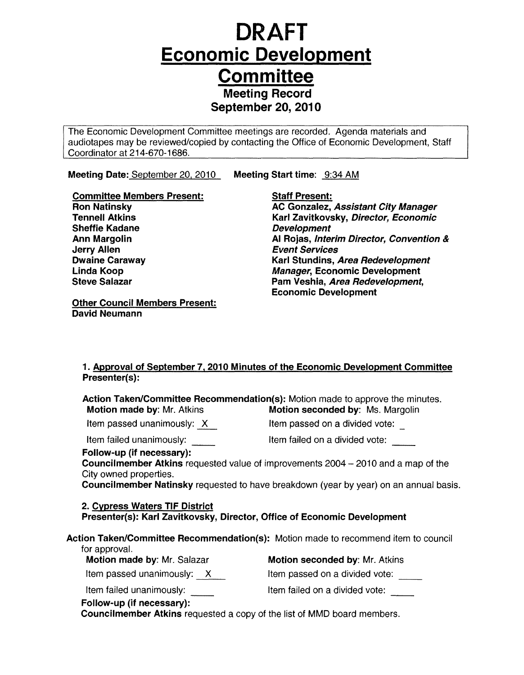## **DRAFT Economic Development Committee**  Meeting Record September 20, 2010

The Economic Development Committee meetings are recorded. Agenda materials and audiotapes may be reviewed/copied by contacting the Office of Economic Development, Staff Coordinator at 214-670-1686.

Meeting Date: <u>September 20, 2010\_</u> Meeting Start time: <u>\_9:34 AM</u>

Committee Members Present: Ron Natinsky Tennell Atkins Sheffie Kadane Ann Margolin Jerry Allen Dwaine Caraway Linda Koop Steve Salazar

Staff Present:

AC Gonzalez, Assistant City Manager Karl Zavitkovsky, Director, Economic Development AI Rojas, Interim Director, Convention & Event Services Karl Stundins, Area Redevelopment Manager, Economic Development Pam Veshia, Area Redevelopment, Economic Development

Other Council Members Present: David Neumann

### 1. Approval of September 7, 2010 Minutes of the Economic Development Committee Presenter(s):

Action Taken/Committee Recommendation(s): Motion made to approve the minutes. Motion made by: Mr. Atkins Motion seconded by: Ms. Margolin Item passed unanimously:  $X$  Item passed on a divided vote: Item failed unanimously: Item failed on a divided vote: Follow-up (if necessary): Councilmember Atkins requested value of improvements 2004 - 2010 and a map of the City owned properties. Councilmember Natinsky requested to have breakdown (year by year) on an annual basis. 2. Cypress Waters TIF District Presenter(s): Karl Zavitkovsky, Director, Office of Economic Development Action Taken/Committee Recommendation(s): Motion made to recommend item to council for approval. Motion made by: Mr. Salazar **Motion seconded by: Mr. Atkins** Item passed unanimously:  $\overline{X}$  Item passed on a divided vote: Item failed unanimously: \_\_ Item failed on a divided vote: Follow-up (if necessary): Council member Atkins requested a copy of the list of MMD board members.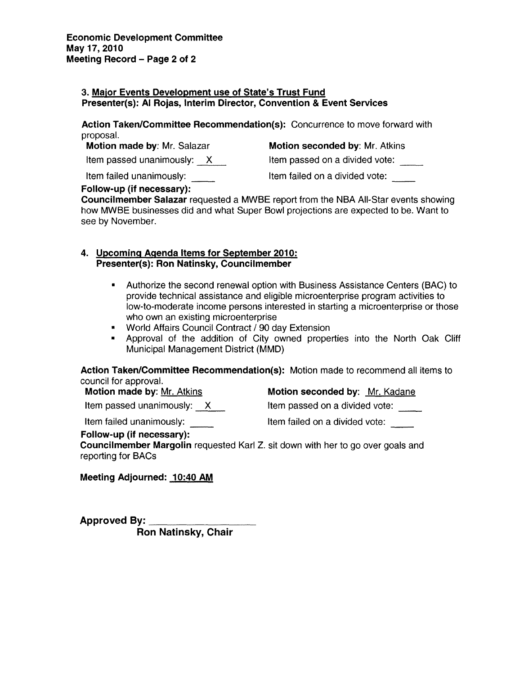### 3. Maior Events Development use of State's Trust Fund Presenter(s): AI Rojas, Interim Director, Convention & Event Services

Action Taken/Committee Recommendation(s): Concurrence to move forward with proposal.

| Motion made by: Mr. Salazar | Mot  |
|-----------------------------|------|
| Item passed unanimously: X  | Item |
| Item failed unanimously:    | ltem |

t**ion seconded by**: Mr. Atkins

 $\alpha$  passed on a divided vote:  $\hphantom{\int\limits_1^1}$ 

Item failed unanimously: \_\_ Item failed on a divided vote:

### Follow-up (if necessary):

Councilmember Salazar requested a MWBE report from the NBA All-Star events showing how MWBE businesses did and what Super Bowl projections are expected to be. Want to see by November.

### 4. Upcoming Agenda Items for September 2010: Presenter(s): Ron Natinsky, Councilmember

- Authorize the second renewal option with Business Assistance Centers (BAC) to provide technical assistance and eligible microenterprise program activities to low-to-moderate income persons interested in starting a microenterprise or those who own an existing microenterprise
- World Affairs Council Contract / 90 day Extension
- Approval of the addition of City owned properties into the North Oak Cliff Municipal Management District (MMD)

Action Taken/Committee Recommendation(s): Motion made to recommend all items to council for approval.

Item failed unanimously: <br>
Item failed on a divided vote:

Motion made by: Mr. Atkins Motion seconded by: Mr. Kadane

Item passed unanimously:  $\frac{X}{X}$  Item passed on a divided vote:  $\frac{1}{X}$ 

Follow-up (if necessary):

Council member Margolin requested Karl Z. sit down with her to go over goals and reporting for BACs

Meeting Adjourned: 10:40 AM

Approved By: Ron Natinsky, Chair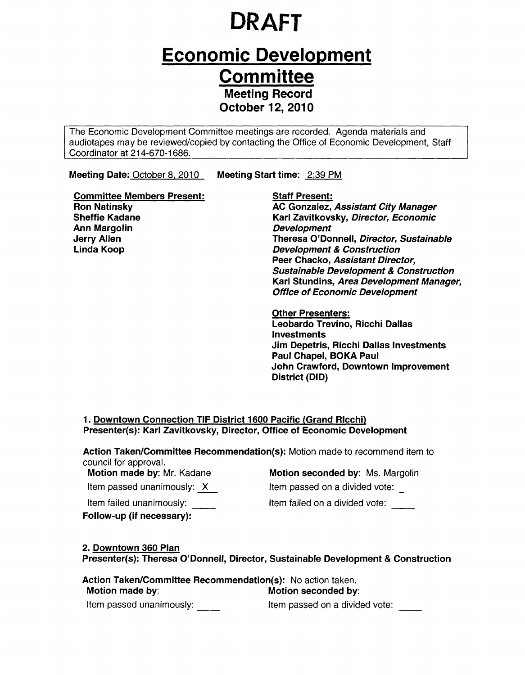# **DRAFT**

## **Economic Development Committee**  Meeting Record October 12, 2010

The Economic Development Committee meetings are recorded. Agenda materials and audiotapes may be reviewed/copied by contacting the Office of Economic Development, Staff Coordinator at 214-670-1686.

Meeting Date: October 8, 2010 Meeting Start time: 2:39 PM

Staff Present:

Committee Members Present: Ron Natinsky Sheffie Kadane Ann Margolin Jerry Allen Linda Koop

AC Gonzalez, Assistant City Manager Karl Zavitkovsky, Director, Economic Development Theresa O'Donnell, Director, Sustainable Development & Construction Peer Chacko, Assistant Director, Sustainable Development & Construction Karl Stundins, Area Development Manager, Office of Economic Development

Other Presenters: Leobardo Trevino, Ricchi Dallas Investments Jim Depetris, Ricchi Dallas Investments Paul Chapel, BOKA Paul John Crawford, Downtown Improvement District (DID)

### 1. Downtown Connection TIF District 1600 Pacific (Grand Rlcchi) Presenter(s): Karl Zavitkovsky, Director, Office of Economic Development

Action Taken/Committee Recommendation(s): Motion made to recommend item to council for approval.

Item passed unanimously:  $\chi$ Item failed unanimously:

Follow-up (if necessary):

Motion made by: Mr. Kadane Motion seconded by: Ms. Margolin Item passed on a divided vote:

Item failed on a divided vote:

### 2. Downtown 360 Plan

Presenter(s): Theresa O'Donnell, Director, Sustainable Development & Construction

Action Taken/Committee Recommendation(s): No action taken. Motion made by: Motion seconded by: Item passed unanimously: **Item passed on a divided vote:**